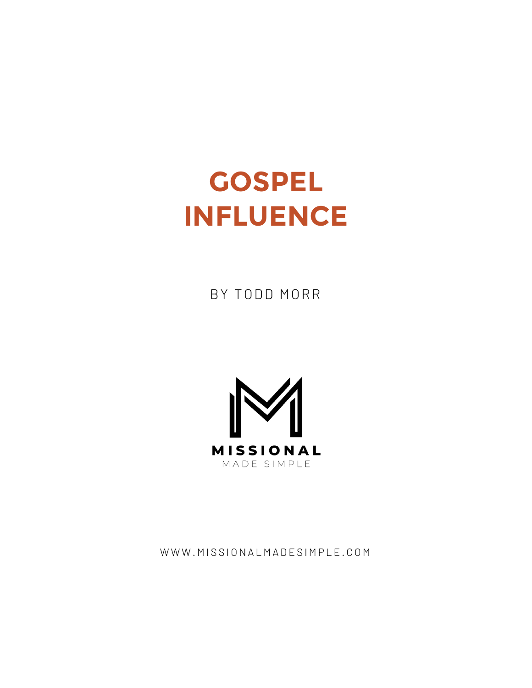# **GOSPEL INFLUENCE**

BY TODD MORR



WWW.MISSIONALMADESIMPLE.COM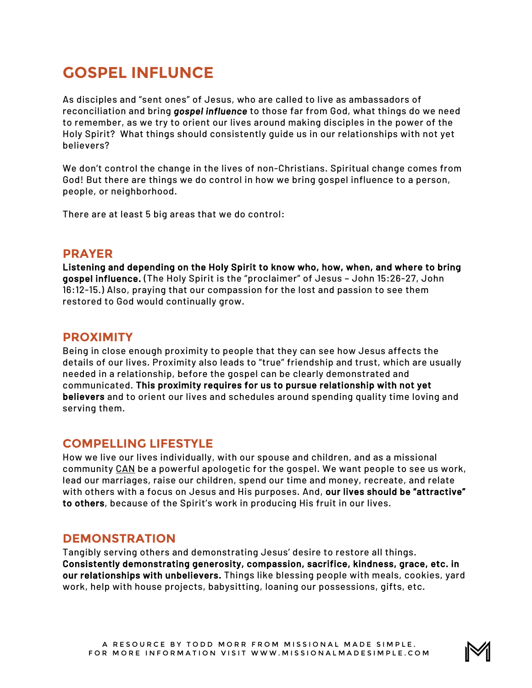# **GOSPEL INFLUNCE**

As disciples and "sent ones" of Jesus, who are called to live as ambassadors of reconciliation and bring *gospel influence* to those far from God, what things do we need to remember, as we try to orient our lives around making disciples in the power of the Holy Spirit? What things should consistently guide us in our relationships with not yet believers?

We don't control the change in the lives of non-Christians. Spiritual change comes from God! But there are things we do control in how we bring gospel influence to a person, people, or neighborhood.

There are at least 5 big areas that we do control:

#### **PRAYER**

Listening and depending on the Holy Spirit to know who, how, when, and where to bring gospel influence. (The Holy Spirit is the "proclaimer" of Jesus – John 15:26-27, John 16:12-15.) Also, praying that our compassion for the lost and passion to see them restored to God would continually grow.

## **PROXIMITY**

Being in close enough proximity to people that they can see how Jesus affects the details of our lives. Proximity also leads to "true" friendship and trust, which are usually needed in a relationship, before the gospel can be clearly demonstrated and communicated. This proximity requires for us to pursue relationship with not yet believers and to orient our lives and schedules around spending quality time loving and serving them.

## **COMPELLING LIFESTYLE**

How we live our lives individually, with our spouse and children, and as a missional community CAN be a powerful apologetic for the gospel. We want people to see us work, lead our marriages, raise our children, spend our time and money, recreate, and relate with others with a focus on Jesus and His purposes. And, our lives should be "attractive" to others, because of the Spirit's work in producing His fruit in our lives.

## **DEMONSTRATION**

Tangibly serving others and demonstrating Jesus' desire to restore all things. Consistently demonstrating generosity, compassion, sacrifice, kindness, grace, etc. in our relationships with unbelievers. Things like blessing people with meals, cookies, yard work, help with house projects, babysitting, loaning our possessions, gifts, etc.